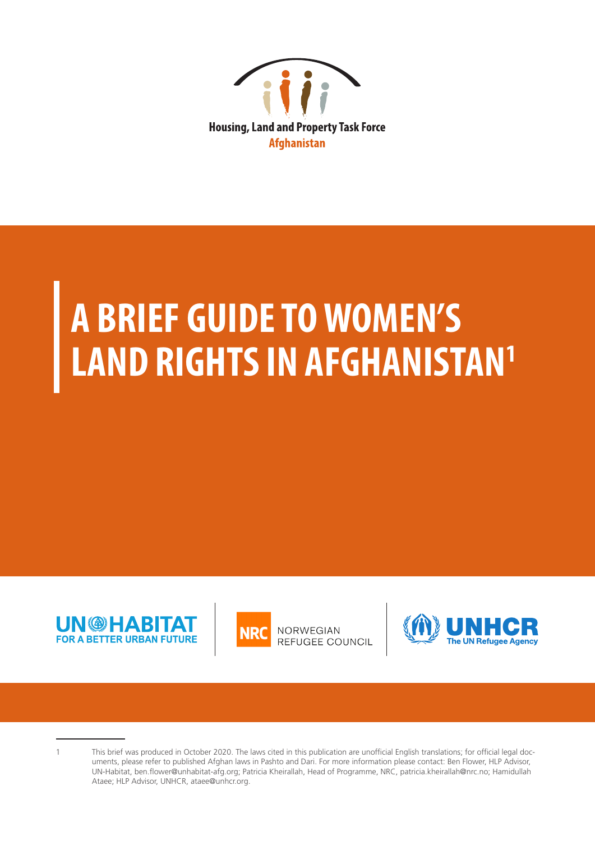

# **A BRIEF GUIDE TO WOMEN'S LAND RIGHTS IN AFGHANISTAN1**





<sup>1</sup> This brief was produced in October 2020. The laws cited in this publication are unofficial English translations; for official legal documents, please refer to published Afghan laws in Pashto and Dari. For more information please contact: Ben Flower, HLP Advisor, UN-Habitat, ben.flower@unhabitat-afg.org; Patricia Kheirallah, Head of Programme, NRC, patricia.kheirallah@nrc.no; Hamidullah Ataee; HLP Advisor, UNHCR, ataee@unhcr.org.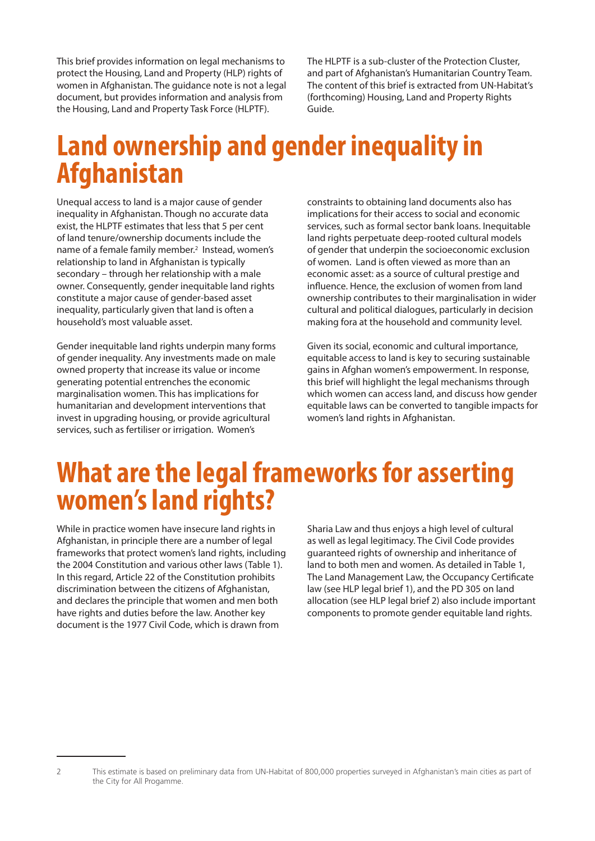This brief provides information on legal mechanisms to protect the Housing, Land and Property (HLP) rights of women in Afghanistan. The guidance note is not a legal document, but provides information and analysis from the Housing, Land and Property Task Force (HLPTF).

The HLPTF is a sub-cluster of the Protection Cluster, and part of Afghanistan's Humanitarian Country Team. The content of this brief is extracted from UN-Habitat's (forthcoming) Housing, Land and Property Rights Guide.

## **Land ownership and gender inequality in Afghanistan**

Unequal access to land is a major cause of gender inequality in Afghanistan. Though no accurate data exist, the HLPTF estimates that less that 5 per cent of land tenure/ownership documents include the name of a female family member.<sup>2</sup> Instead, women's relationship to land in Afghanistan is typically secondary – through her relationship with a male owner. Consequently, gender inequitable land rights constitute a major cause of gender-based asset inequality, particularly given that land is often a household's most valuable asset.

Gender inequitable land rights underpin many forms of gender inequality. Any investments made on male owned property that increase its value or income generating potential entrenches the economic marginalisation women. This has implications for humanitarian and development interventions that invest in upgrading housing, or provide agricultural services, such as fertiliser or irrigation. Women's

constraints to obtaining land documents also has implications for their access to social and economic services, such as formal sector bank loans. Inequitable land rights perpetuate deep-rooted cultural models of gender that underpin the socioeconomic exclusion of women. Land is often viewed as more than an economic asset: as a source of cultural prestige and influence. Hence, the exclusion of women from land ownership contributes to their marginalisation in wider cultural and political dialogues, particularly in decision making fora at the household and community level.

Given its social, economic and cultural importance, equitable access to land is key to securing sustainable gains in Afghan women's empowerment. In response, this brief will highlight the legal mechanisms through which women can access land, and discuss how gender equitable laws can be converted to tangible impacts for women's land rights in Afghanistan.

## **What are the legal frameworks for asserting women's land rights?**

While in practice women have insecure land rights in Afghanistan, in principle there are a number of legal frameworks that protect women's land rights, including the 2004 Constitution and various other laws (Table 1). In this regard, Article 22 of the Constitution prohibits discrimination between the citizens of Afghanistan, and declares the principle that women and men both have rights and duties before the law. Another key document is the 1977 Civil Code, which is drawn from

Sharia Law and thus enjoys a high level of cultural as well as legal legitimacy. The Civil Code provides guaranteed rights of ownership and inheritance of land to both men and women. As detailed in Table 1, The Land Management Law, the Occupancy Certificate law (see HLP legal brief 1), and the PD 305 on land allocation (see HLP legal brief 2) also include important components to promote gender equitable land rights.

<sup>2</sup> This estimate is based on preliminary data from UN-Habitat of 800,000 properties surveyed in Afghanistan's main cities as part of the City for All Progamme.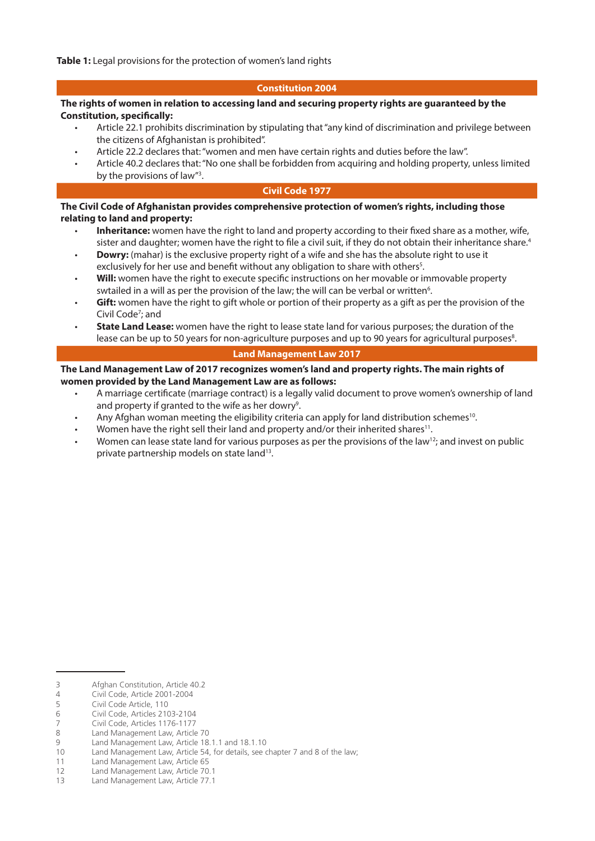#### **Constitution 2004**

#### **The rights of women in relation to accessing land and securing property rights are guaranteed by the Constitution, specifically:**

- Article 22.1 prohibits discrimination by stipulating that "any kind of discrimination and privilege between the citizens of Afghanistan is prohibited".
- Article 22.2 declares that: "women and men have certain rights and duties before the law".
- Article 40.2 declares that: "No one shall be forbidden from acquiring and holding property, unless limited by the provisions of law"<sup>3</sup>.

#### **Civil Code 1977**

#### **The Civil Code of Afghanistan provides comprehensive protection of women's rights, including those relating to land and property:**

- **Inheritance:** women have the right to land and property according to their fixed share as a mother, wife, sister and daughter; women have the right to file a civil suit, if they do not obtain their inheritance share.<sup>4</sup>
- **Dowry:** (mahar) is the exclusive property right of a wife and she has the absolute right to use it exclusively for her use and benefit without any obligation to share with others<sup>5</sup>.
- Will: women have the right to execute specific instructions on her movable or immovable property swtailed in a will as per the provision of the law; the will can be verbal or written<sup>6</sup>.
- **Gift:** women have the right to gift whole or portion of their property as a gift as per the provision of the Civil Code<sup>7</sup>; and
- **State Land Lease:** women have the right to lease state land for various purposes; the duration of the lease can be up to 50 years for non-agriculture purposes and up to 90 years for agricultural purposes<sup>8</sup>.

#### **Land Management Law 2017**

#### **The Land Management Law of 2017 recognizes women's land and property rights. The main rights of women provided by the Land Management Law are as follows:**

- A marriage certificate (marriage contract) is a legally valid document to prove women's ownership of land and property if granted to the wife as her dowry<sup>9</sup>.
- Any Afghan woman meeting the eligibility criteria can apply for land distribution schemes<sup>10</sup>.
- Women have the right sell their land and property and/or their inherited shares<sup>11</sup>.
- Women can lease state land for various purposes as per the provisions of the law<sup>12</sup>; and invest on public private partnership models on state land<sup>13</sup>.

<sup>3</sup> Afghan Constitution, Article 40.2

<sup>4</sup> Civil Code, Article 2001-2004<br>5 Civil Code Article, 110

Civil Code Article, 110

<sup>6</sup> Civil Code, Articles 2103-2104

<sup>7</sup> Civil Code, Articles 1176-1177<br>8 Land Management Law Article

Land Management Law, Article 70

<sup>9</sup> Land Management Law, Article 18.1.1 and 18.1.10<br>10 Land Management Law, Article 54, for details, see o

Land Management Law, Article 54, for details, see chapter 7 and 8 of the law;

<sup>11</sup> Land Management Law, Article 65

<sup>12</sup> Land Management Law, Article 70.1

<sup>13</sup> Land Management Law, Article 77.1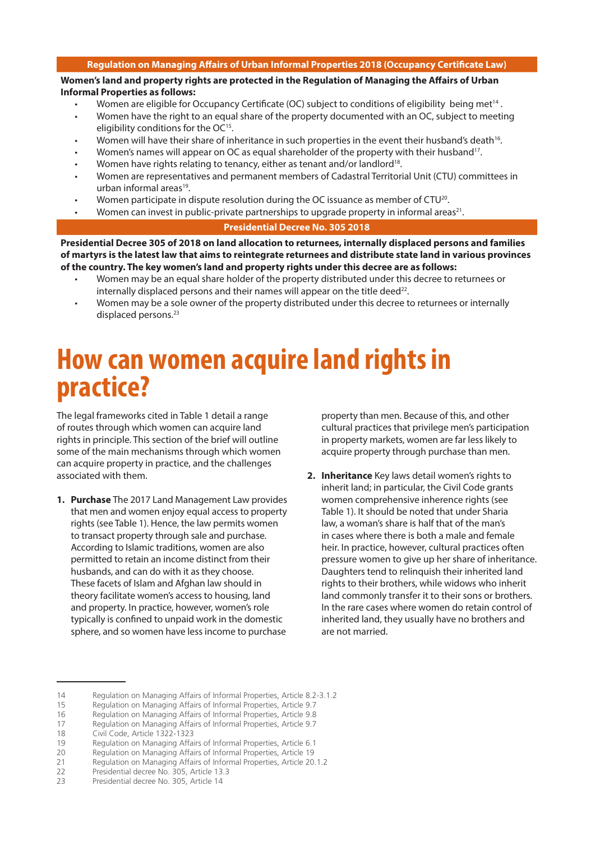#### **Regulation on Managing Affairs of Urban Informal Properties 2018 (Occupancy Certificate Law)**

**Women's land and property rights are protected in the Regulation of Managing the Affairs of Urban Informal Properties as follows:** 

- Women are eligible for Occupancy Certificate (OC) subject to conditions of eligibility being met<sup>14</sup>.
- Women have the right to an equal share of the property documented with an OC, subject to meeting eligibility conditions for the OC<sup>15</sup>.
- Women will have their share of inheritance in such properties in the event their husband's death<sup>16</sup>.
- Women's names will appear on OC as equal shareholder of the property with their husband<sup>17</sup>.
- Women have rights relating to tenancy, either as tenant and/or landlord<sup>18</sup>.
- Women are representatives and permanent members of Cadastral Territorial Unit (CTU) committees in urban informal areas<sup>19</sup>.
- Women participate in dispute resolution during the OC issuance as member of  $CTU<sup>20</sup>$ .
- Women can invest in public-private partnerships to upgrade property in informal areas<sup>21</sup>.

#### **Presidential Decree No. 305 2018**

**Presidential Decree 305 of 2018 on land allocation to returnees, internally displaced persons and families of martyrs is the latest law that aims to reintegrate returnees and distribute state land in various provinces of the country. The key women's land and property rights under this decree are as follows:** 

- Women may be an equal share holder of the property distributed under this decree to returnees or internally displaced persons and their names will appear on the title deed $^{22}$ .
- Women may be a sole owner of the property distributed under this decree to returnees or internally displaced persons.<sup>23</sup>

### **How can women acquire land rights in practice?**

The legal frameworks cited in Table 1 detail a range of routes through which women can acquire land rights in principle. This section of the brief will outline some of the main mechanisms through which women can acquire property in practice, and the challenges associated with them.

**1. Purchase** The 2017 Land Management Law provides that men and women enjoy equal access to property rights (see Table 1). Hence, the law permits women to transact property through sale and purchase. According to Islamic traditions, women are also permitted to retain an income distinct from their husbands, and can do with it as they choose. These facets of Islam and Afghan law should in theory facilitate women's access to housing, land and property. In practice, however, women's role typically is confined to unpaid work in the domestic sphere, and so women have less income to purchase

property than men. Because of this, and other cultural practices that privilege men's participation in property markets, women are far less likely to acquire property through purchase than men.

**2. Inheritance** Key laws detail women's rights to inherit land; in particular, the Civil Code grants women comprehensive inherence rights (see Table 1). It should be noted that under Sharia law, a woman's share is half that of the man's in cases where there is both a male and female heir. In practice, however, cultural practices often pressure women to give up her share of inheritance. Daughters tend to relinquish their inherited land rights to their brothers, while widows who inherit land commonly transfer it to their sons or brothers. In the rare cases where women do retain control of inherited land, they usually have no brothers and are not married.

18 Civil Code, Article 1322-1323

<sup>14</sup> Regulation on Managing Affairs of Informal Properties, Article 8.2-3.1.2<br>15 Regulation on Managing Affairs of Informal Properties, Article 9.7

Regulation on Managing Affairs of Informal Properties, Article 9.7

<sup>16</sup> Regulation on Managing Affairs of Informal Properties, Article 9.8

<sup>17</sup> Regulation on Managing Affairs of Informal Properties, Article 9.7

<sup>19</sup> Regulation on Managing Affairs of Informal Properties, Article 6.1

<sup>20</sup> Regulation on Managing Affairs of Informal Properties, Article 19

<sup>21</sup> Regulation on Managing Affairs of Informal Properties, Article 20.1.2

<sup>22</sup> Presidential decree No. 305, Article 13.3

<sup>23</sup> Presidential decree No. 305, Article 14